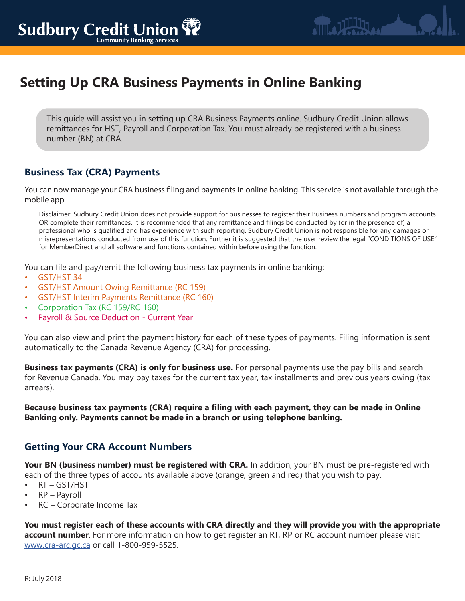# **Setting Up CRA Business Payments in Online Banking**

This guide will assist you in setting up CRA Business Payments online. Sudbury Credit Union allows remittances for HST, Payroll and Corporation Tax. You must already be registered with a business number (BN) at CRA.

# **Business Tax (CRA) Payments**

You can now manage your CRA business filing and payments in online banking. This service is not available through the mobile app.

Disclaimer: Sudbury Credit Union does not provide support for businesses to register their Business numbers and program accounts OR complete their remittances. It is recommended that any remittance and filings be conducted by (or in the presence of) a professional who is qualified and has experience with such reporting. Sudbury Credit Union is not responsible for any damages or misrepresentations conducted from use of this function. Further it is suggested that the user review the legal "CONDITIONS OF USE" for MemberDirect and all software and functions contained within before using the function.

You can file and pay/remit the following business tax payments in online banking:

- GST/HST 34
- GST/HST Amount Owing Remittance (RC 159)
- GST/HST Interim Payments Remittance (RC 160)
- Corporation Tax (RC 159/RC 160)
- Payroll & Source Deduction Current Year

You can also view and print the payment history for each of these types of payments. Filing information is sent automatically to the Canada Revenue Agency (CRA) for processing.

**Business tax payments (CRA) is only for business use.** For personal payments use the pay bills and search for Revenue Canada. You may pay taxes for the current tax year, tax installments and previous years owing (tax arrears).

**Because business tax payments (CRA) require a filing with each payment, they can be made in Online Banking only. Payments cannot be made in a branch or using telephone banking.**

#### **Getting Your CRA Account Numbers**

**Your BN (business number) must be registered with CRA.** In addition, your BN must be pre-registered with each of the three types of accounts available above (orange, green and red) that you wish to pay.

- RT GST/HST
- RP Payroll
- RC Corporate Income Tax

**You must register each of these accounts with CRA directly and they will provide you with the appropriate account number**. For more information on how to get register an RT, RP or RC account number please visit www.cra-arc.gc.ca or call 1-800-959-5525.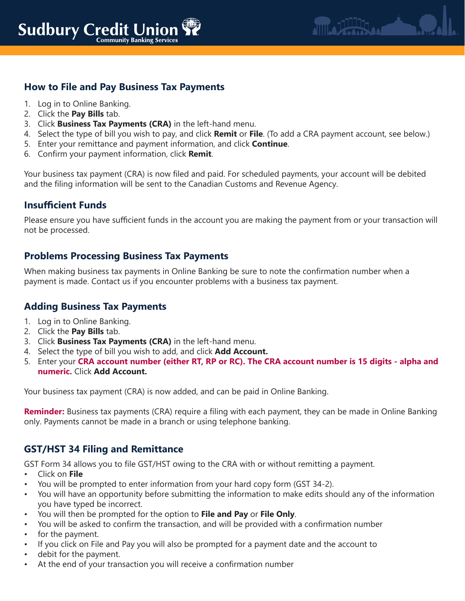## **How to File and Pay Business Tax Payments**

- 1. Log in to Online Banking.
- 2. Click the **Pay Bills** tab.
- 3. Click **Business Tax Payments (CRA)** in the left-hand menu.
- 4. Select the type of bill you wish to pay, and click **Remit** or **File**. (To add a CRA payment account, see below.)
- 5. Enter your remittance and payment information, and click **Continue**.
- 6. Confirm your payment information, click **Remit**.

Your business tax payment (CRA) is now filed and paid. For scheduled payments, your account will be debited and the filing information will be sent to the Canadian Customs and Revenue Agency.

#### **Insufficient Funds**

Please ensure you have sufficient funds in the account you are making the payment from or your transaction will not be processed.

#### **Problems Processing Business Tax Payments**

When making business tax payments in Online Banking be sure to note the confirmation number when a payment is made. Contact us if you encounter problems with a business tax payment.

#### **Adding Business Tax Payments**

- 1. Log in to Online Banking.
- 2. Click the **Pay Bills** tab.
- 3. Click **Business Tax Payments (CRA)** in the left-hand menu.
- 4. Select the type of bill you wish to add, and click **Add Account.**
- 5. Enter your **CRA account number (either RT, RP or RC). The CRA account number is 15 digits alpha and numeric.** Click **Add Account.**

Your business tax payment (CRA) is now added, and can be paid in Online Banking.

**Reminder:** Business tax payments (CRA) require a filing with each payment, they can be made in Online Banking only. Payments cannot be made in a branch or using telephone banking.

#### **GST/HST 34 Filing and Remittance**

GST Form 34 allows you to file GST/HST owing to the CRA with or without remitting a payment.

- Click on **File**
- You will be prompted to enter information from your hard copy form (GST 34-2).
- You will have an opportunity before submitting the information to make edits should any of the information you have typed be incorrect.
- You will then be prompted for the option to **File and Pay** or **File Only**.
- You will be asked to confirm the transaction, and will be provided with a confirmation number
- for the payment.
- If you click on File and Pay you will also be prompted for a payment date and the account to
- debit for the payment.
- At the end of your transaction you will receive a confirmation number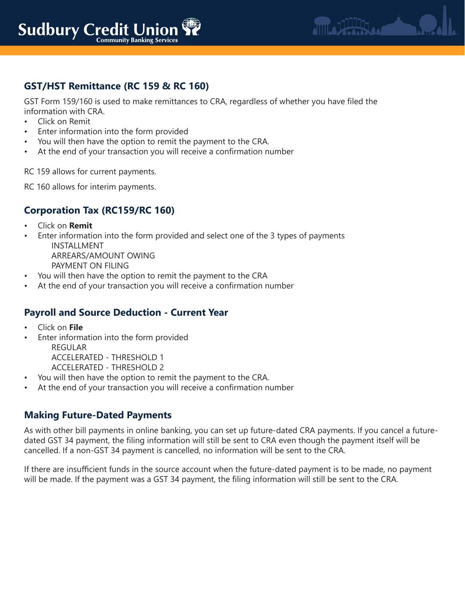

# **GST/HST Remittance (RC 159 & RC 160)**

GST Form 159/160 is used to make remittances to CRA, regardless of whether you have filed the information with CRA.

- Click on Remit
- Enter information into the form provided
- You will then have the option to remit the payment to the CRA.
- At the end of your transaction you will receive a confirmation number

RC 159 allows for current payments.

RC 160 allows for interim payments.

### **Corporation Tax (RC159/RC 160)**

- Click on **Remit**
- Enter information into the form provided and select one of the 3 types of payments INSTALLMENT

ARREARS/AMOUNT OWING PAYMENT ON FILING

- You will then have the option to remit the payment to the CRA
- At the end of your transaction you will receive a confirmation number

#### **Payroll and Source Deduction - Current Year**

- Click on **File**
- Enter information into the form provided

REGULAR ACCELERATED - THRESHOLD 1

ACCELERATED - THRESHOLD 2

- You will then have the option to remit the payment to the CRA.
- At the end of your transaction you will receive a confirmation number

#### **Making Future-Dated Payments**

As with other bill payments in online banking, you can set up future-dated CRA payments. If you cancel a futuredated GST 34 payment, the filing information will still be sent to CRA even though the payment itself will be cancelled. If a non-GST 34 payment is cancelled, no information will be sent to the CRA.

If there are insufficient funds in the source account when the future-dated payment is to be made, no payment will be made. If the payment was a GST 34 payment, the filing information will still be sent to the CRA.